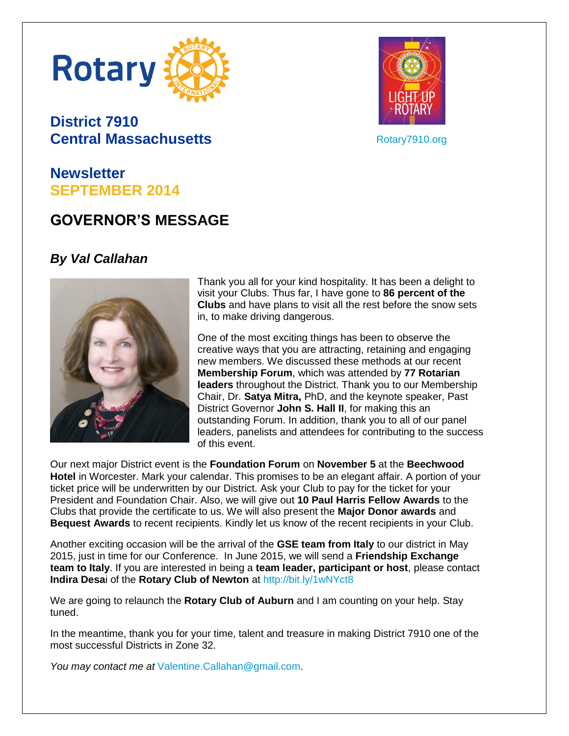

## **District 7910 Central Massachusetts**



[Rotary7910.org](http://www.rotary7910.org/)

## **Newsletter SEPTEMBER 2014**

# **GOVERNOR'S MESSAGE**

### *By Val Callahan*



Thank you all for your kind hospitality. It has been a delight to visit your Clubs. Thus far, I have gone to **86 percent of the Clubs** and have plans to visit all the rest before the snow sets in, to make driving dangerous.

One of the most exciting things has been to observe the creative ways that you are attracting, retaining and engaging new members. We discussed these methods at our recent **Membership Forum**, which was attended by **77 Rotarian leaders** throughout the District. Thank you to our Membership Chair, Dr. **Satya Mitra,** PhD, and the keynote speaker, Past District Governor **John S. Hall II**, for making this an outstanding Forum. In addition, thank you to all of our panel leaders, panelists and attendees for contributing to the success of this event.

Our next major District event is the **Foundation Forum** on **November 5** at the **Beechwood Hotel** in Worcester. Mark your calendar. This promises to be an elegant affair. A portion of your ticket price will be underwritten by our District. Ask your Club to pay for the ticket for your President and Foundation Chair. Also, we will give out **10 Paul Harris Fellow Awards** to the Clubs that provide the certificate to us. We will also present the **Major Donor awards** and **Bequest Awards** to recent recipients. Kindly let us know of the recent recipients in your Club.

Another exciting occasion will be the arrival of the **GSE team from Italy** to our district in May 2015, just in time for our Conference. In June 2015, we will send a **Friendship Exchange team to Italy**. If you are interested in being a **team leader, participant or host**, please contact **Indira Desa**i of the **Rotary Club of Newton** at <http://bit.ly/1wNYct8>

We are going to relaunch the **Rotary Club of Auburn** and I am counting on your help. Stay tuned.

In the meantime, thank you for your time, talent and treasure in making District 7910 one of the most successful Districts in Zone 32.

*You may contact me at* [Valentine.Callahan@gmail.com.](mailto:Valentine.Callahan@gmail.com)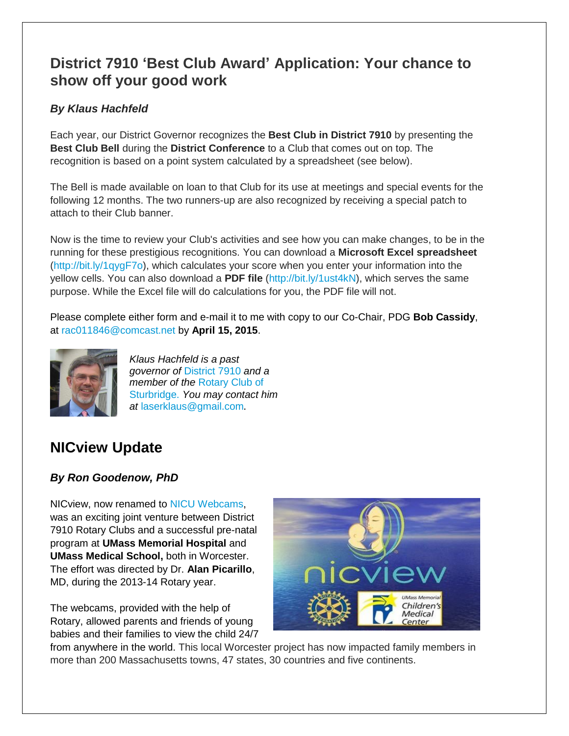## **District 7910 'Best Club Award' Application: Your chance to show off your good work**

#### *By Klaus Hachfeld*

Each year, our District Governor recognizes the **Best Club in District 7910** by presenting the **Best Club Bell** during the **District Conference** to a Club that comes out on top. The recognition is based on a point system calculated by a spreadsheet (see below).

The Bell is made available on loan to that Club for its use at meetings and special events for the following 12 months. The two runners-up are also recognized by receiving a special patch to attach to their Club banner.

Now is the time to review your Club's activities and see how you can make changes, to be in the running for these prestigious recognitions. You can download a **Microsoft Excel spreadsheet** [\(http://bit.ly/1qygF7o\)](http://bit.ly/1qygF7o), which calculates your score when you enter your information into the yellow cells. You can also download a **PDF file** [\(http://bit.ly/1ust4kN\)](http://bit.ly/1ust4kN), which serves the same purpose. While the Excel file will do calculations for you, the PDF file will not.

Please complete either form and e-mail it to me with copy to our Co-Chair, PDG **Bob Cassidy**, at [rac011846@comcast.net](file:///C:/Users/Steve/Desktop/rac011846@comcast.net) by **April 15, 2015**.



*Klaus Hachfeld is a past governor of* [District 7910](http://www.rotary7910.org/) *and a member of the* [Rotary Club of](http://www.sturbridgerotary.org/)  [Sturbridge.](http://www.sturbridgerotary.org/) *You may contact him at* [laserklaus@gmail.com](mailto:laserklaus@gmail.com).

# **NICview Update**

### *By Ron Goodenow, PhD*

NICview, now renamed to [NICU Webcams,](http://www.nicviewrotary.org/) was an exciting joint venture between District 7910 Rotary Clubs and a successful pre-natal program at **UMass Memorial Hospital** and **UMass Medical School,** both in Worcester. The effort was directed by Dr. **Alan Picarillo**, MD, during the 2013-14 Rotary year.

The webcams, provided with the help of Rotary, allowed parents and friends of young babies and their families to view the child 24/7



from anywhere in the world. This local Worcester project has now impacted family members in more than 200 Massachusetts towns, 47 states, 30 countries and five continents.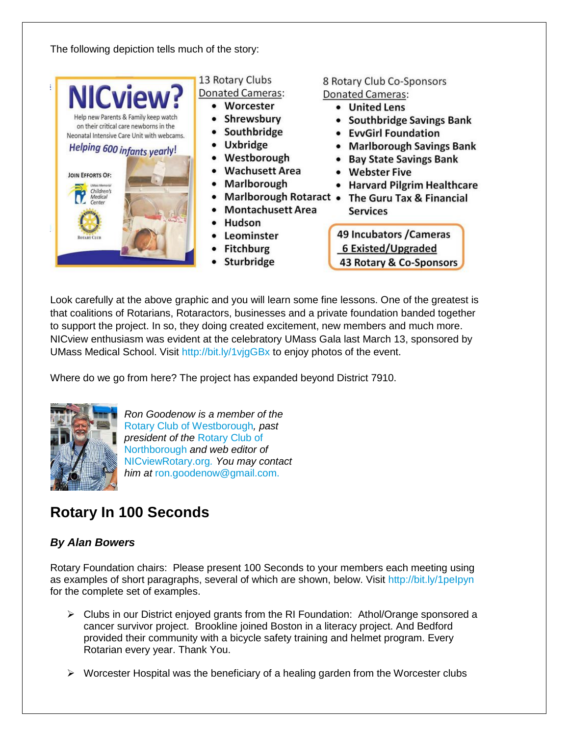The following depiction tells much of the story:



Look carefully at the above graphic and you will learn some fine lessons. One of the greatest is that coalitions of Rotarians, Rotaractors, businesses and a private foundation banded together to support the project. In so, they doing created excitement, new members and much more. NICview enthusiasm was evident at the celebratory UMass Gala last March 13, sponsored by UMass Medical School. Visit<http://bit.ly/1vjgGBx> to enjoy photos of the event.

Where do we go from here? The project has expanded beyond District 7910.



*Ron Goodenow is a member of the* [Rotary Club of Westborough](http://www.westboroughrotary.org/)*, past president of the* [Rotary Club of](https://www.facebook.com/NorthboroMARotaryClub)  [Northborough](https://www.facebook.com/NorthboroMARotaryClub) *and web editor of*  [NICviewRotary.org](http://www.nicviewrotary.org/)*. You may contact him at* [ron.goodenow@gmail.com.](mailto:ron.goodenow@gmail.com)

# **Rotary In 100 Seconds**

#### *By Alan Bowers*

Rotary Foundation chairs: Please present 100 Seconds to your members each meeting using as examples of short paragraphs, several of which are shown, below. Visit<http://bit.ly/1peIpyn> for the complete set of examples.

- $\triangleright$  Clubs in our District enjoyed grants from the RI Foundation: Athol/Orange sponsored a cancer survivor project. Brookline joined Boston in a literacy project. And Bedford provided their community with a bicycle safety training and helmet program. Every Rotarian every year. Thank You.
- $\triangleright$  Worcester Hospital was the beneficiary of a healing garden from the Worcester clubs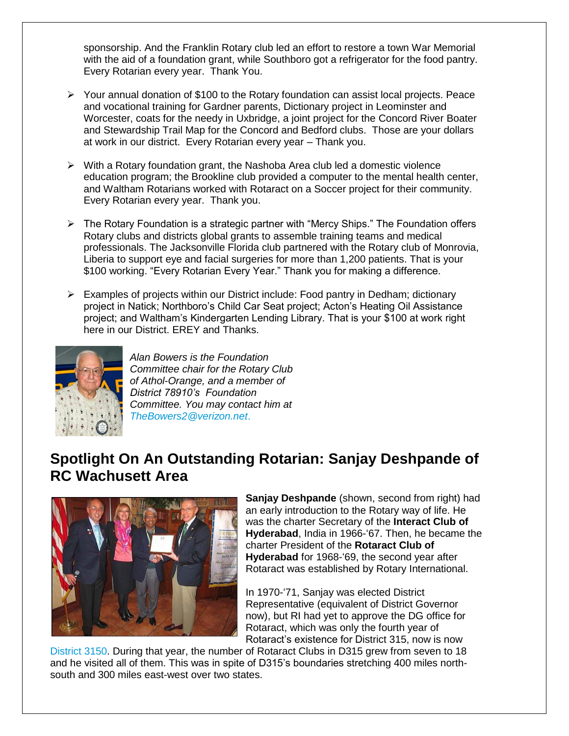sponsorship. And the Franklin Rotary club led an effort to restore a town War Memorial with the aid of a foundation grant, while Southboro got a refrigerator for the food pantry. Every Rotarian every year. Thank You.

- $\triangleright$  Your annual donation of \$100 to the Rotary foundation can assist local projects. Peace and vocational training for Gardner parents, Dictionary project in Leominster and Worcester, coats for the needy in Uxbridge, a joint project for the Concord River Boater and Stewardship Trail Map for the Concord and Bedford clubs. Those are your dollars at work in our district. Every Rotarian every year – Thank you.
- $\triangleright$  With a Rotary foundation grant, the Nashoba Area club led a domestic violence education program; the Brookline club provided a computer to the mental health center, and Waltham Rotarians worked with Rotaract on a Soccer project for their community. Every Rotarian every year. Thank you.
- The Rotary Foundation is a strategic partner with "Mercy Ships." The Foundation offers Rotary clubs and districts global grants to assemble training teams and medical professionals. The Jacksonville Florida club partnered with the Rotary club of Monrovia, Liberia to support eye and facial surgeries for more than 1,200 patients. That is your \$100 working. "Every Rotarian Every Year." Thank you for making a difference.
- Examples of projects within our District include: Food pantry in Dedham; dictionary project in Natick; Northboro's Child Car Seat project; Acton's Heating Oil Assistance project; and Waltham's Kindergarten Lending Library. That is your \$100 at work right here in our District. EREY and Thanks.



*Alan Bowers is the Foundation Committee chair for the Rotary Club of Athol-Orange, and a member of District 78910's Foundation Committee. You may contact him at [TheBowers2@verizon.net](mailto:TheBowers2@verizon.net)*.

### **Spotlight On An Outstanding Rotarian: Sanjay Deshpande of RC Wachusett Area**



**Sanjay Deshpande** (shown, second from right) had an early introduction to the Rotary way of life. He was the charter Secretary of the **Interact Club of Hyderabad**, India in 1966-'67. Then, he became the charter President of the **Rotaract Club of Hyderabad** for 1968-'69, the second year after Rotaract was established by Rotary International.

In 1970-'71, Sanjay was elected District Representative (equivalent of District Governor now), but RI had yet to approve the DG office for Rotaract, which was only the fourth year of Rotaract's existence for District 315, now is now

[District 3150.](http://www.rotary3150.org/) During that year, the number of Rotaract Clubs in D315 grew from seven to 18 and he visited all of them. This was in spite of D315's boundaries stretching 400 miles northsouth and 300 miles east-west over two states.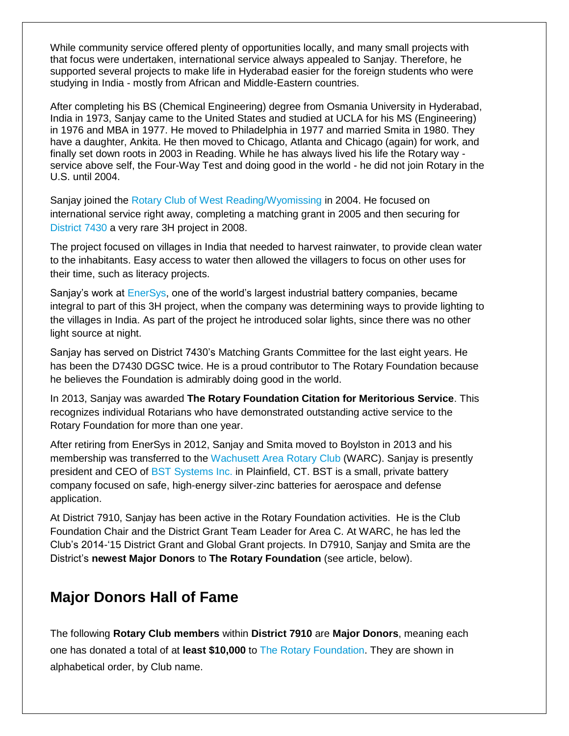While community service offered plenty of opportunities locally, and many small projects with that focus were undertaken, international service always appealed to Sanjay. Therefore, he supported several projects to make life in Hyderabad easier for the foreign students who were studying in India - mostly from African and Middle-Eastern countries.

After completing his BS (Chemical Engineering) degree from Osmania University in Hyderabad, India in 1973, Sanjay came to the United States and studied at UCLA for his MS (Engineering) in 1976 and MBA in 1977. He moved to Philadelphia in 1977 and married Smita in 1980. They have a daughter, Ankita. He then moved to Chicago, Atlanta and Chicago (again) for work, and finally set down roots in 2003 in Reading. While he has always lived his life the Rotary way service above self, the Four-Way Test and doing good in the world - he did not join Rotary in the U.S. until 2004.

Sanjay joined the [Rotary Club of West Reading/Wyomissing](http://portal.clubrunner.ca/6818/) in 2004. He focused on international service right away, completing a matching grant in 2005 and then securing for [District 7430](http://www.rotarydistrict7430.org/) a very rare 3H project in 2008.

The project focused on villages in India that needed to harvest rainwater, to provide clean water to the inhabitants. Easy access to water then allowed the villagers to focus on other uses for their time, such as literacy projects.

Sanjay's work at [EnerSys,](http://www.enersys.com/GlobalLanding.aspx) one of the world's largest industrial battery companies, became integral to part of this 3H project, when the company was determining ways to provide lighting to the villages in India. As part of the project he introduced solar lights, since there was no other light source at night.

Sanjay has served on District 7430's Matching Grants Committee for the last eight years. He has been the D7430 DGSC twice. He is a proud contributor to The Rotary Foundation because he believes the Foundation is admirably doing good in the world.

In 2013, Sanjay was awarded **The Rotary Foundation Citation for Meritorious Service**. This recognizes individual Rotarians who have demonstrated outstanding active service to the Rotary Foundation for more than one year.

After retiring from EnerSys in 2012, Sanjay and Smita moved to Boylston in 2013 and his membership was transferred to the [Wachusett Area Rotary Club](http://www.wachusettarearotary.org/) (WARC). Sanjay is presently president and CEO of [BST Systems Inc.](http://www.bstsys.com/) in Plainfield, CT. BST is a small, private battery company focused on safe, high-energy silver-zinc batteries for aerospace and defense application.

At District 7910, Sanjay has been active in the Rotary Foundation activities. He is the Club Foundation Chair and the District Grant Team Leader for Area C. At WARC, he has led the Club's 2014-'15 District Grant and Global Grant projects. In D7910, Sanjay and Smita are the District's **newest Major Donors** to **The Rotary Foundation** (see article, below).

### **Major Donors Hall of Fame**

The following **Rotary Club members** within **District 7910** are **Major Donors**, meaning each one has donated a total of at **least \$10,000** to [The Rotary Foundation.](https://www.rotary.org/myrotary/en/rotary-foundation) They are shown in alphabetical order, by Club name.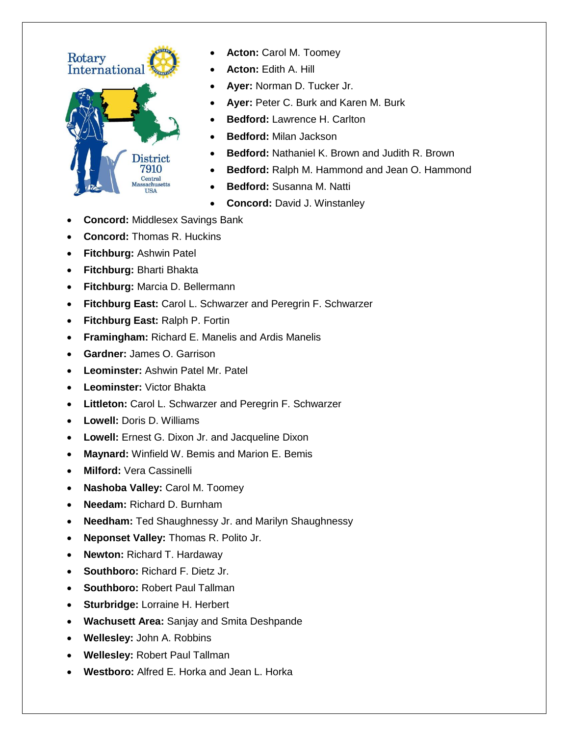

- **Acton:** Carol M. Toomey
- **Acton:** Edith A. Hill
- **Ayer:** Norman D. Tucker Jr.
- **Ayer:** Peter C. Burk and Karen M. Burk
- **Bedford:** Lawrence H. Carlton
- **Bedford:** Milan Jackson
- **Bedford:** Nathaniel K. Brown and Judith R. Brown
- **Bedford:** Ralph M. Hammond and Jean O. Hammond
- **Bedford:** Susanna M. Natti
- **Concord:** David J. Winstanley
- **Concord:** Middlesex Savings Bank
- **Concord:** Thomas R. Huckins
- **Fitchburg:** Ashwin Patel
- **Fitchburg:** Bharti Bhakta
- **Fitchburg:** Marcia D. Bellermann
- **Fitchburg East:** Carol L. Schwarzer and Peregrin F. Schwarzer
- **Fitchburg East:** Ralph P. Fortin
- **Framingham:** Richard E. Manelis and Ardis Manelis
- **Gardner:** James O. Garrison
- **Leominster:** Ashwin Patel Mr. Patel
- **Leominster:** Victor Bhakta
- **Littleton:** Carol L. Schwarzer and Peregrin F. Schwarzer
- **Lowell:** Doris D. Williams
- **Lowell:** Ernest G. Dixon Jr. and Jacqueline Dixon
- **Maynard:** Winfield W. Bemis and Marion E. Bemis
- **Milford:** Vera Cassinelli
- **Nashoba Valley:** Carol M. Toomey
- **Needam:** Richard D. Burnham
- **Needham:** Ted Shaughnessy Jr. and Marilyn Shaughnessy
- **Neponset Valley:** Thomas R. Polito Jr.
- **Newton:** Richard T. Hardaway
- **Southboro:** Richard F. Dietz Jr.
- **Southboro:** Robert Paul Tallman
- **Sturbridge:** Lorraine H. Herbert
- **Wachusett Area:** Sanjay and Smita Deshpande
- **Wellesley:** John A. Robbins
- **Wellesley:** Robert Paul Tallman
- **Westboro:** Alfred E. Horka and Jean L. Horka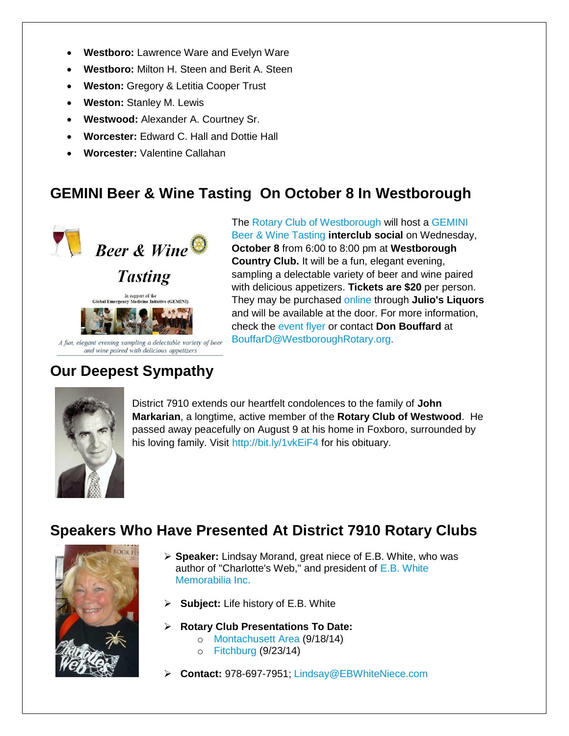- **Westboro:** Lawrence Ware and Evelyn Ware
- **Westboro:** Milton H. Steen and Berit A. Steen
- **Weston:** Gregory & Letitia Cooper Trust
- **Weston:** Stanley M. Lewis
- **Westwood:** Alexander A. Courtney Sr.
- **Worcester:** Edward C. Hall and Dottie Hall
- **Worcester:** Valentine Callahan

### **GEMINI Beer & Wine Tasting On October 8 In Westborough**



The [Rotary Club of Westborough](http://www.westboroughrotary.org/) will host a [GEMINI](https://docs.google.com/file/d/0B_NvYidaM9djQnZjcHo2RmhBSjQ/edit)  [Beer & Wine Tasting](https://docs.google.com/file/d/0B_NvYidaM9djQnZjcHo2RmhBSjQ/edit) **interclub social** on Wednesday, **October 8** from 6:00 to 8:00 pm at **Westborough Country Club.** It will be a fun, elegant evening, sampling a delectable variety of beer and wine paired with delicious appetizers. **Tickets are \$20** per person. They may be purchased [online](http://store.juliosliquors.com/online/products.php?cat=20) through **Julio's Liquors** and will be available at the door. For more information, check the [event flyer](https://docs.google.com/file/d/0B_NvYidaM9djQnZjcHo2RmhBSjQ/edit) or contact **Don Bouffard** at [BouffarD@WestboroughRotary.org.](mailto:bouffard@westboroughrotary.org)

# **Our Deepest Sympathy**



District 7910 extends our heartfelt condolences to the family of **John Markarian**, a longtime, active member of the **Rotary Club of Westwood**. He passed away peacefully on August 9 at his home in Foxboro, surrounded by his loving family. Visit<http://bit.ly/1vkEiF4> for his obituary.

### **Speakers Who Have Presented At District 7910 Rotary Clubs**



- **Speaker:** Lindsay Morand, great niece of E.B. White, who was author of "Charlotte's Web," and president of [E.B. White](https://www.facebook.com/lindsay49usa/timeline)  [Memorabilia Inc.](https://www.facebook.com/lindsay49usa/timeline)
- **Subject:** Life history of E.B. White
- **Rotary Club Presentations To Date:**
	- o [Montachusett](http://www.clubrunner.ca/Portal/Home.aspx?cid=3547) Area (9/18/14)
	- o [Fitchburg](https://www.facebook.com/pages/Fitchburg-Rotary-Club/128589503876798) (9/23/14)
- **Contact:** 978-697-7951; [Lindsay@EBWhiteNiece.com](mailto:lindsay@EBWhiteNiece.com)